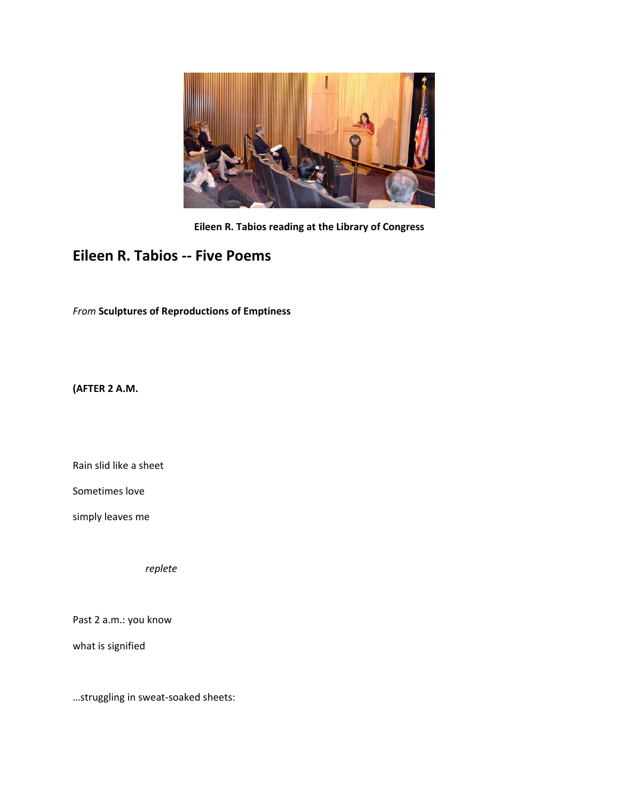

**Eileen R. Tabios reading at the Library of Congress**

# **Eileen R. Tabios ‐‐ Five Poems**

*From* **Sculptures of Reproductions of Emptiness**

**(AFTER 2 A.M.**

Rain slid like a sheet

Sometimes love

simply leaves me

*replete*

Past 2 a.m.: you know

what is signified

…struggling in sweat‐soaked sheets: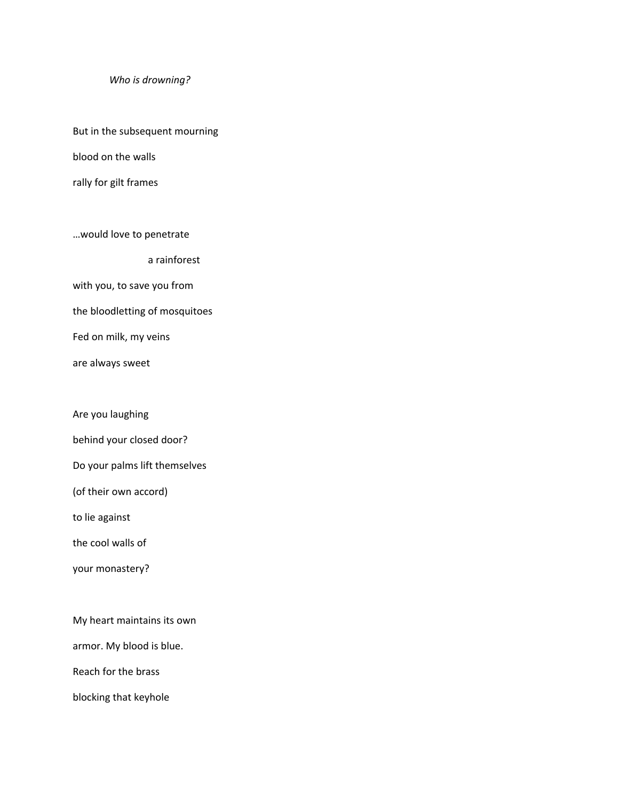## *Who is drowning?*

But in the subsequent mourning

blood on the walls

rally for gilt frames

…would love to penetrate

a rainforest

with you, to save you from

the bloodletting of mosquitoes

Fed on milk, my veins

are always sweet

Are you laughing

behind your closed door?

Do your palms lift themselves

(of their own accord)

to lie against

the cool walls of

your monastery?

My heart maintains its own

armor. My blood is blue.

Reach for the brass

blocking that keyhole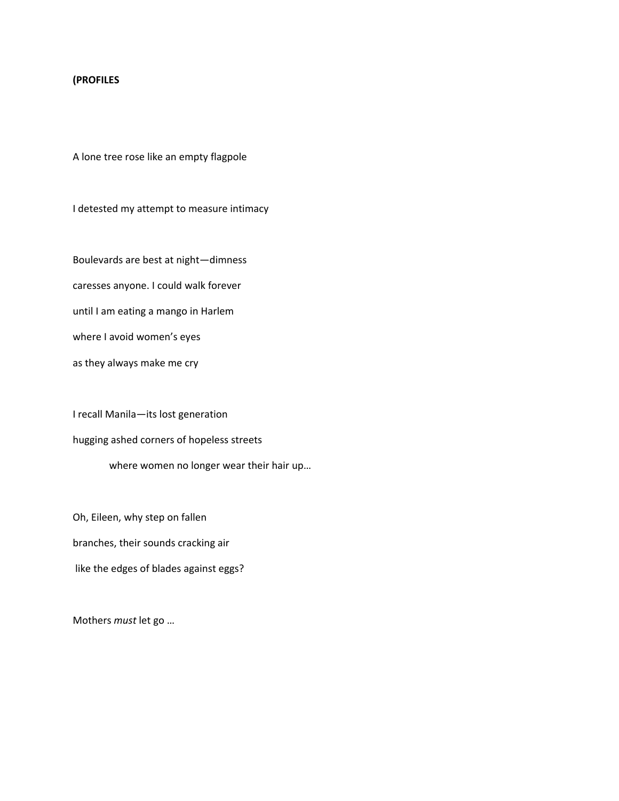## **(PROFILES**

A lone tree rose like an empty flagpole

I detested my attempt to measure intimacy

Boulevards are best at night—dimness caresses anyone. I could walk forever until I am eating a mango in Harlem where I avoid women's eyes as they always make me cry

I recall Manila—its lost generation hugging ashed corners of hopeless streets where women no longer wear their hair up…

Oh, Eileen, why step on fallen branches, their sounds cracking air like the edges of blades against eggs?

Mothers *must* let go …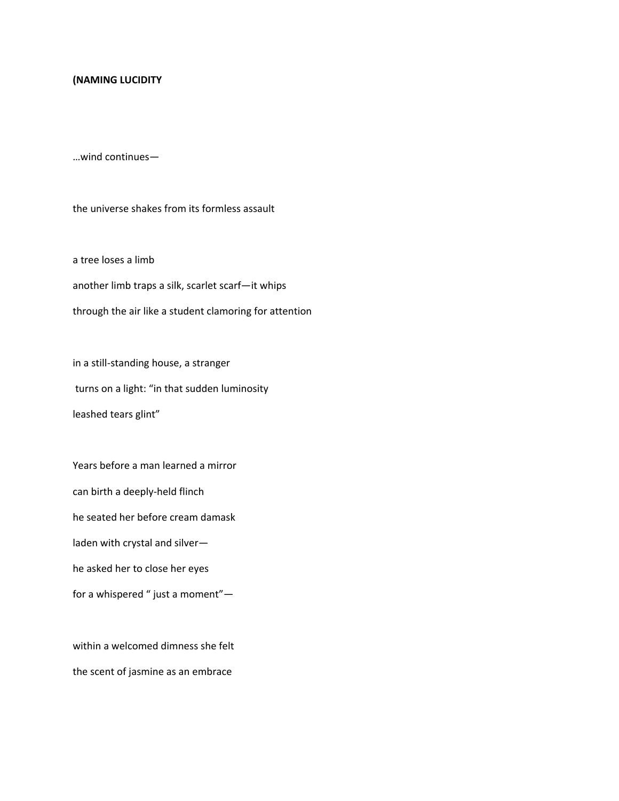#### **(NAMING LUCIDITY**

…wind continues—

the universe shakes from its formless assault

a tree loses a limb another limb traps a silk, scarlet scarf—it whips through the air like a student clamoring for attention

in a still‐standing house, a stranger turns on a light: "in that sudden luminosity leashed tears glint"

Years before a man learned a mirror can birth a deeply‐held flinch he seated her before cream damask laden with crystal and silver he asked her to close her eyes for a whispered " just a moment"—

within a welcomed dimness she felt the scent of jasmine as an embrace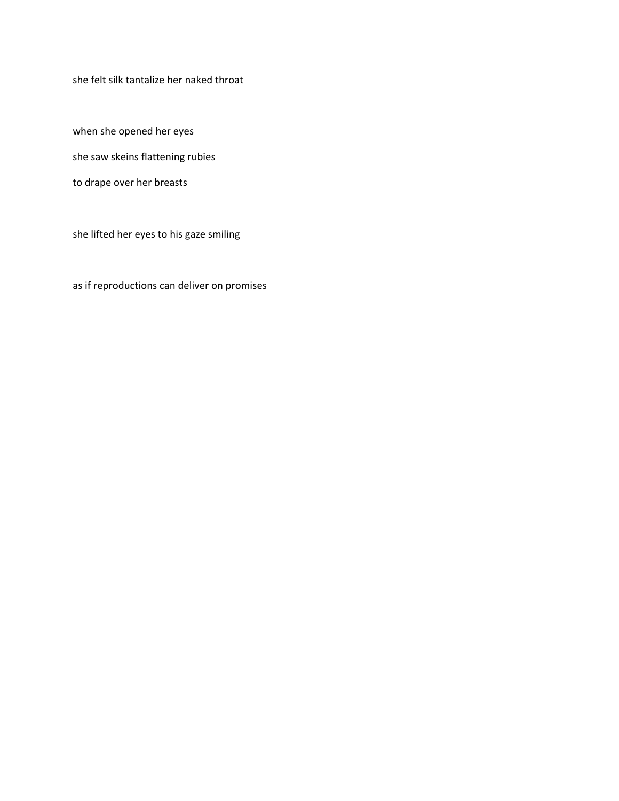she felt silk tantalize her naked throat

when she opened her eyes

she saw skeins flattening rubies

to drape over her breasts

she lifted her eyes to his gaze smiling

as if reproductions can deliver on promises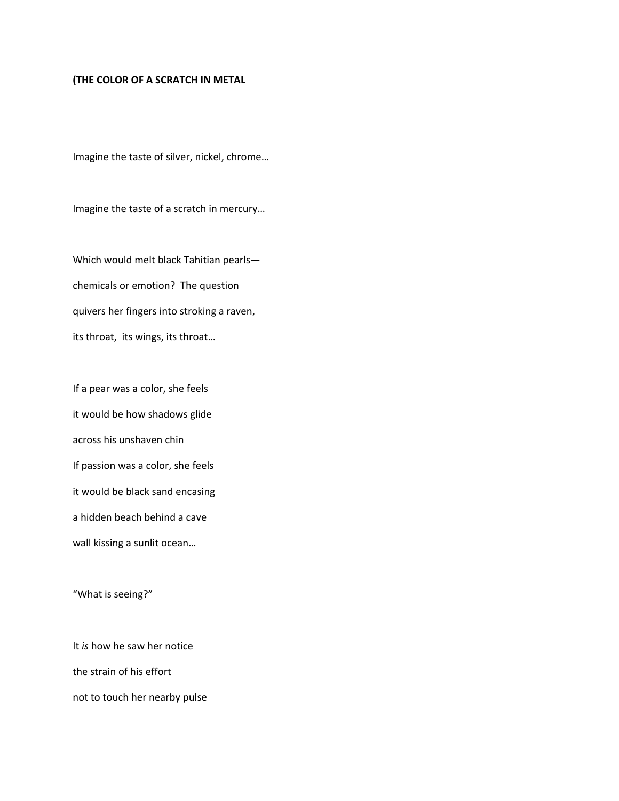### **(THE COLOR OF A SCRATCH IN METAL**

Imagine the taste of silver, nickel, chrome…

Imagine the taste of a scratch in mercury…

Which would melt black Tahitian pearls chemicals or emotion? The question quivers her fingers into stroking a raven, its throat, its wings, its throat…

If a pear was a color, she feels it would be how shadows glide across his unshaven chin If passion was a color, she feels it would be black sand encasing a hidden beach behind a cave wall kissing a sunlit ocean…

"What is seeing?"

It *is* how he saw her notice the strain of his effort not to touch her nearby pulse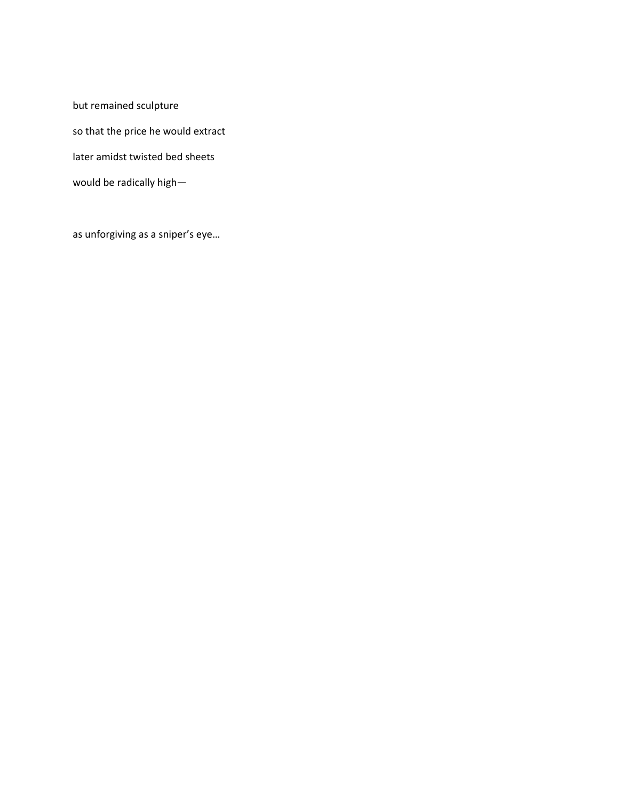but remained sculpture so that the price he would extract later amidst twisted bed sheets would be radically high—

as unforgiving as a sniper's eye…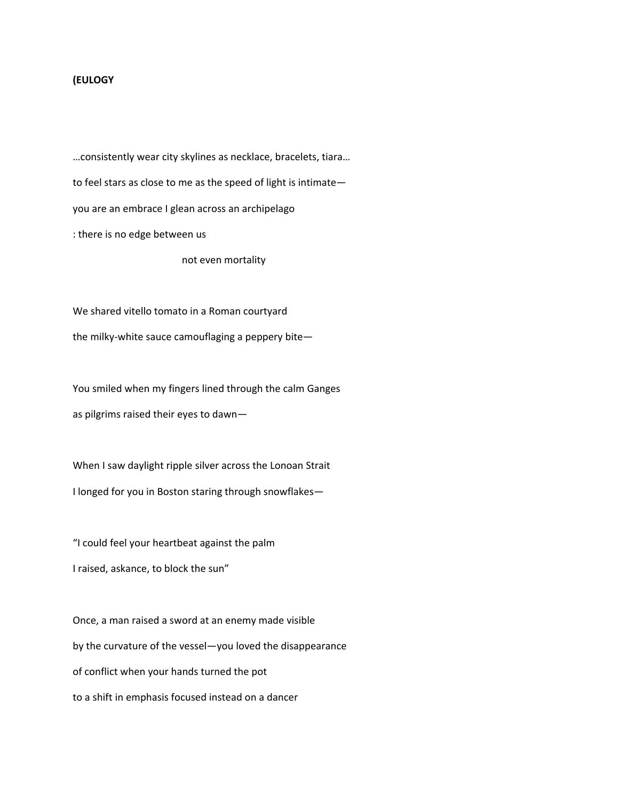#### **(EULOGY**

…consistently wear city skylines as necklace, bracelets, tiara… to feel stars as close to me as the speed of light is intimate you are an embrace I glean across an archipelago : there is no edge between us

not even mortality

We shared vitello tomato in a Roman courtyard the milky‐white sauce camouflaging a peppery bite—

You smiled when my fingers lined through the calm Ganges as pilgrims raised their eyes to dawn—

When I saw daylight ripple silver across the Lonoan Strait I longed for you in Boston staring through snowflakes—

"I could feel your heartbeat against the palm I raised, askance, to block the sun"

Once, a man raised a sword at an enemy made visible by the curvature of the vessel—you loved the disappearance of conflict when your hands turned the pot to a shift in emphasis focused instead on a dancer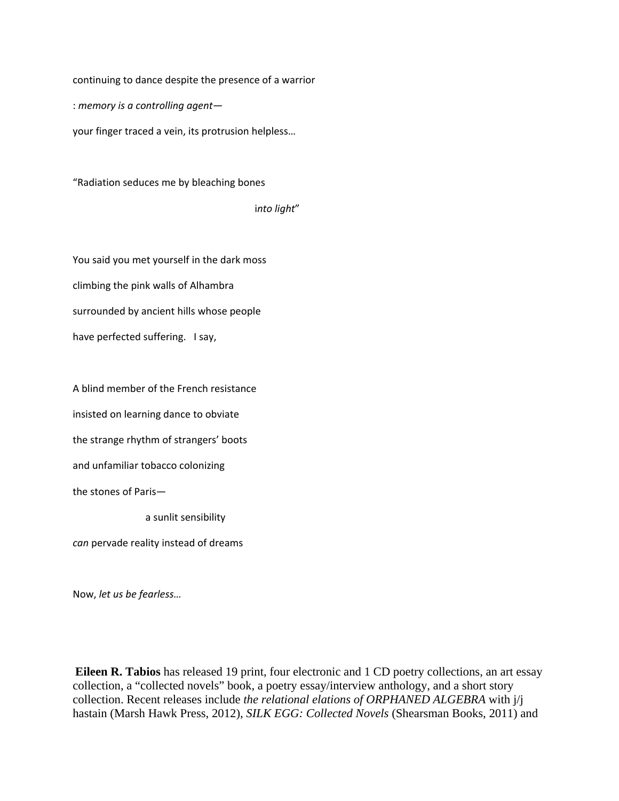continuing to dance despite the presence of a warrior : *memory is a controlling agent* your finger traced a vein, its protrusion helpless…

"Radiation seduces me by bleaching bones

i*nto light*"

You said you met yourself in the dark moss climbing the pink walls of Alhambra surrounded by ancient hills whose people have perfected suffering. I say,

A blind member of the French resistance insisted on learning dance to obviate the strange rhythm of strangers' boots and unfamiliar tobacco colonizing the stones of Paris—

a sunlit sensibility

*can* pervade reality instead of dreams

Now, *let us be fearless…*

**Eileen R. Tabios** has released 19 print, four electronic and 1 CD poetry collections, an art essay collection, a "collected novels" book, a poetry essay/interview anthology, and a short story collection. Recent releases include *the relational elations of ORPHANED ALGEBRA* with j/j hastain (Marsh Hawk Press, 2012), *SILK EGG: Collected Novels* (Shearsman Books, 2011) and